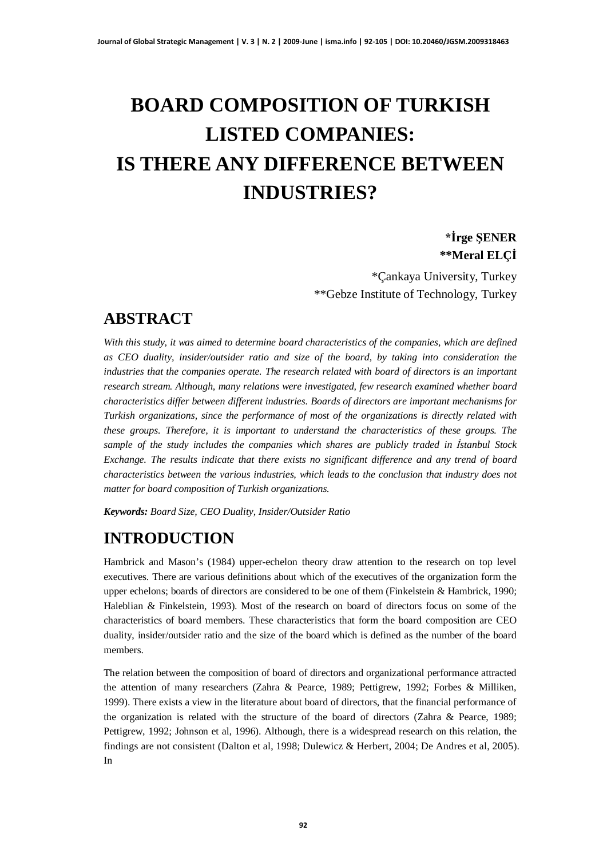## **BOARD COMPOSITION OF TURKISH LISTED COMPANIES: IS THERE ANY DIFFERENCE BETWEEN INDUSTRIES?**

## **ørge ùENER \*\*Meral ELÇø**

\*Çankaya University, Turkey \*\*Gebze Institute of Technology, Turkey

## **ABSTRACT**

*With this study, it was aimed to determine board characteristics of the companies, which are defined as CEO duality, insider/outsider ratio and size of the board, by taking into consideration the industries that the companies operate. The research related with board of directors is an important research stream. Although, many relations were investigated, few research examined whether board characteristics differ between different industries. Boards of directors are important mechanisms for Turkish organizations, since the performance of most of the organizations is directly related with these groups. Therefore, it is important to understand the characteristics of these groups. The sample of the study includes the companies which shares are publicly traded in østanbul Stock Exchange. The results indicate that there exists no significant difference and any trend of board characteristics between the various industries, which leads to the conclusion that industry does not matter for board composition of Turkish organizations.*

*Keywords: Board Size, CEO Duality, Insider/Outsider Ratio*

## **INTRODUCTION**

Hambrick and Mason's (1984) upper-echelon theory draw attention to the research on top level executives. There are various definitions about which of the executives of the organization form the upper echelons; boards of directors are considered to be one of them (Finkelstein & Hambrick, 1990; Haleblian & Finkelstein, 1993). Most of the research on board of directors focus on some of the characteristics of board members. These characteristics that form the board composition are CEO duality, insider/outsider ratio and the size of the board which is defined as the number of the board members.

The relation between the composition of board of directors and organizational performance attracted the attention of many researchers (Zahra & Pearce, 1989; Pettigrew, 1992; Forbes & Milliken, 1999). There exists a view in the literature about board of directors, that the financial performance of the organization is related with the structure of the board of directors (Zahra & Pearce, 1989; Pettigrew, 1992; Johnson et al, 1996). Although, there is a widespread research on this relation, the findings are not consistent (Dalton et al, 1998; Dulewicz & Herbert, 2004; De Andres et al, 2005). In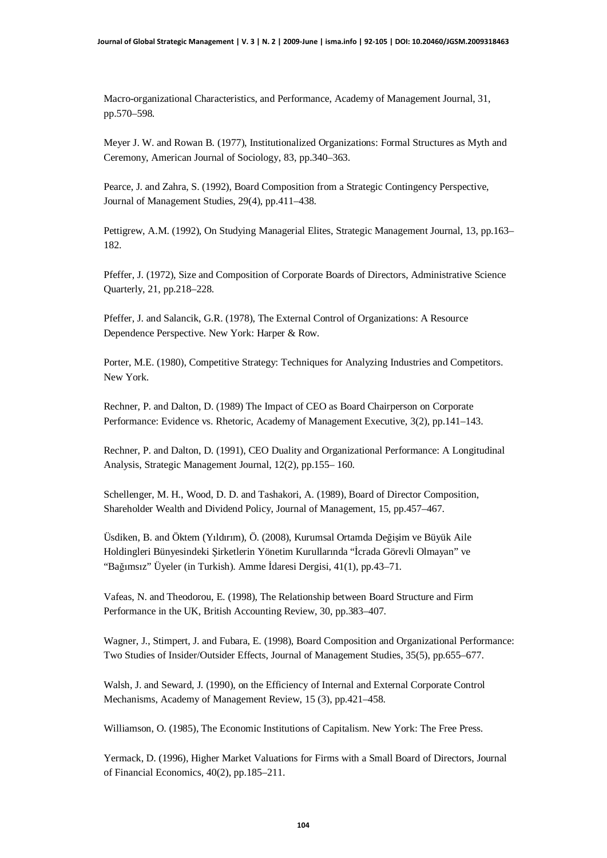Macro-organizational Characteristics, and Performance, Academy of Management Journal, 31, pp.570–598.

Meyer J. W. and Rowan B. (1977), Institutionalized Organizations: Formal Structures as Myth and Ceremony, American Journal of Sociology, 83, pp.340–363.

Pearce, J. and Zahra, S. (1992), Board Composition from a Strategic Contingency Perspective, Journal of Management Studies, 29(4), pp.411–438.

Pettigrew, A.M. (1992), On Studying Managerial Elites, Strategic Management Journal, 13, pp.163– 182.

Pfeffer, J. (1972), Size and Composition of Corporate Boards of Directors, Administrative Science Quarterly, 21, pp.218–228.

Pfeffer, J. and Salancik, G.R. (1978), The External Control of Organizations: A Resource Dependence Perspective. New York: Harper & Row.

Porter, M.E. (1980), Competitive Strategy: Techniques for Analyzing Industries and Competitors. New York.

Rechner, P. and Dalton, D. (1989) The Impact of CEO as Board Chairperson on Corporate Performance: Evidence vs. Rhetoric, Academy of Management Executive, 3(2), pp.141–143.

Rechner, P. and Dalton, D. (1991), CEO Duality and Organizational Performance: A Longitudinal Analysis, Strategic Management Journal, 12(2), pp.155– 160.

Schellenger, M. H., Wood, D. D. and Tashakori, A. (1989), Board of Director Composition, Shareholder Wealth and Dividend Policy, Journal of Management, 15, pp.457–467.

Üsdiken, B. and Öktem (Yıldırım), Ö. (2008), Kurumsal Ortamda Değişim ve Büyük Aile Holdingleri Bünyesindeki Şirketlerin Yönetim Kurullarında "İcrada Görevli Olmayan" ve "Bağımsız" Üyeler (in Turkish). Amme İdaresi Dergisi, 41(1), pp.43–71.

Vafeas, N. and Theodorou, E. (1998), The Relationship between Board Structure and Firm Performance in the UK, British Accounting Review, 30, pp.383–407.

Wagner, J., Stimpert, J. and Fubara, E. (1998), Board Composition and Organizational Performance: Two Studies of Insider/Outsider Effects, Journal of Management Studies, 35(5), pp.655–677.

Walsh, J. and Seward, J. (1990), on the Efficiency of Internal and External Corporate Control Mechanisms, Academy of Management Review, 15 (3), pp.421–458.

Williamson, O. (1985), The Economic Institutions of Capitalism. New York: The Free Press.

Yermack, D. (1996), Higher Market Valuations for Firms with a Small Board of Directors, Journal of Financial Economics, 40(2), pp.185–211.